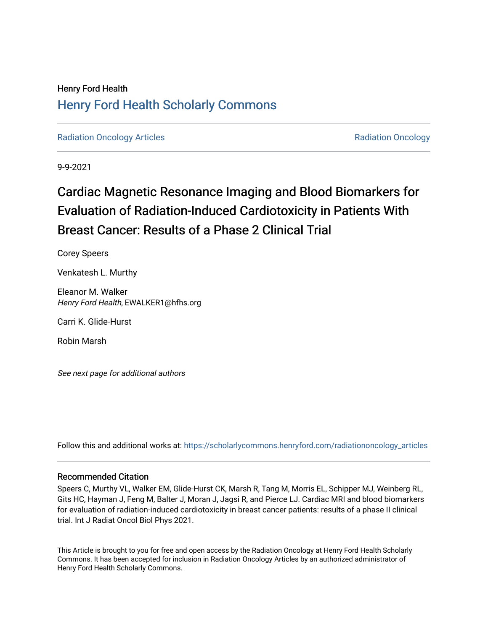## Henry Ford Health [Henry Ford Health Scholarly Commons](https://scholarlycommons.henryford.com/)

[Radiation Oncology Articles](https://scholarlycommons.henryford.com/radiationoncology_articles) **Radiation Oncology** Articles **Radiation Oncology** 

9-9-2021

# Cardiac Magnetic Resonance Imaging and Blood Biomarkers for Evaluation of Radiation-Induced Cardiotoxicity in Patients With Breast Cancer: Results of a Phase 2 Clinical Trial

Corey Speers

Venkatesh L. Murthy

Eleanor M. Walker Henry Ford Health, EWALKER1@hfhs.org

Carri K. Glide-Hurst

Robin Marsh

See next page for additional authors

Follow this and additional works at: [https://scholarlycommons.henryford.com/radiationoncology\\_articles](https://scholarlycommons.henryford.com/radiationoncology_articles?utm_source=scholarlycommons.henryford.com%2Fradiationoncology_articles%2F332&utm_medium=PDF&utm_campaign=PDFCoverPages) 

### Recommended Citation

Speers C, Murthy VL, Walker EM, Glide-Hurst CK, Marsh R, Tang M, Morris EL, Schipper MJ, Weinberg RL, Gits HC, Hayman J, Feng M, Balter J, Moran J, Jagsi R, and Pierce LJ. Cardiac MRI and blood biomarkers for evaluation of radiation-induced cardiotoxicity in breast cancer patients: results of a phase II clinical trial. Int J Radiat Oncol Biol Phys 2021.

This Article is brought to you for free and open access by the Radiation Oncology at Henry Ford Health Scholarly Commons. It has been accepted for inclusion in Radiation Oncology Articles by an authorized administrator of Henry Ford Health Scholarly Commons.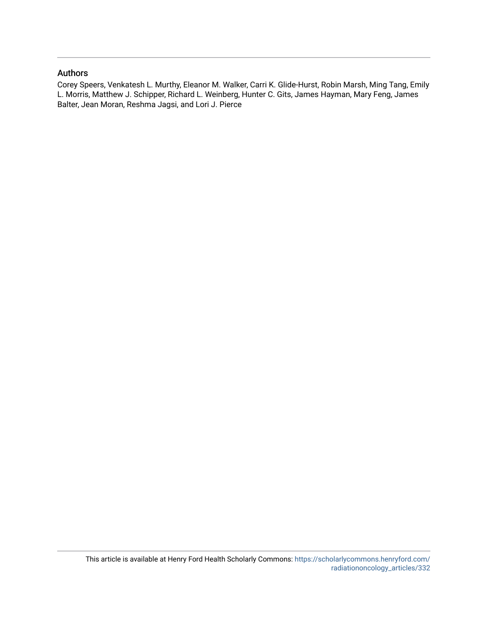### Authors

Corey Speers, Venkatesh L. Murthy, Eleanor M. Walker, Carri K. Glide-Hurst, Robin Marsh, Ming Tang, Emily L. Morris, Matthew J. Schipper, Richard L. Weinberg, Hunter C. Gits, James Hayman, Mary Feng, James Balter, Jean Moran, Reshma Jagsi, and Lori J. Pierce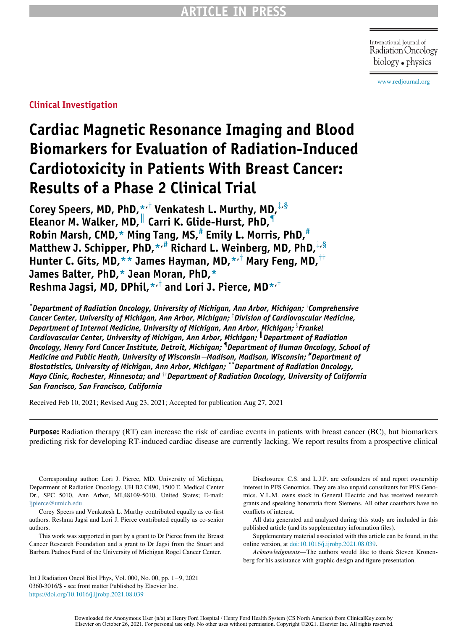International Journal of Radiation Oncology biology • physics

[www.redjournal.org](http://www.redjournal.org)

Clinical Investigation

# Cardiac Magnetic Resonance Imaging and Blood Biomarkers for Evaluation of Radiation-Induced Cardiotoxicity in Patients With Breast Cancer: Results of a Phase 2 Clinical Trial

Core[y](#page-2-0) Speers, MD, PhD,  $\star$ ,<sup>†</sup> Venkatesh L. Murthy, MD,  $\star$ ,§ Eleanor M. Walker, MD, Carri K. Glide-Hurst, PhD, Robin Marsh, CMD, $*$  Ming Tang, MS, $*$  Emily L. Morris, PhD, $*$ Matthew J. Schipper, PhD,  $*$ ,  $*$  Richard L. Weinberg, MD, PhD,  $\frac{1}{s}$ , § Hunter C. Gits, MD,[\\*\\*](#page-2-4) James Hayman, MD[,\\*](#page-2-0)<sup>,†</sup> Mar[y](#page-2-0) Feng, MD,<sup>††</sup> James Balter, PhD[,\\*](#page-2-0) Jean Moran, PhD[,\\*](#page-2-0) Reshma Jagsi, MD, DPhil,  $\star$ <sup>†</sup> and Lori J. Pierce, MD $\star$ <sup>+†</sup>

<span id="page-2-2"></span><span id="page-2-1"></span><span id="page-2-0"></span> $\,$ \*Department of Radiation Oncology, University of Michigan, Ann Arbor, Michigan;  $^\dagger$ Comprehensive Cancer Center, University of Michigan, Ann Arbor, Michigan; <sup>1</sup>Division of Cardiovascular Medicine, Department of Internal Medicine, University of Michigan, Ann Arbor, Michigan;  $^{\textrm{\tiny{3}}}$ Frankel Cardiovascular Center, University of Michigan, Ann Arbor, Michigan;  $\|$  Department of Radiation Oncology, Henry Ford Cancer Institute, Detroit, Michigan; { Department of Human Oncology, School of Medicine and Public Heath, University of Wisconsin−Madison, Madison, Wisconsin; # Department of Biostatistics, University of Michigan, Ann Arbor, Michigan; \*\*Department of Radiation Oncology, Mayo Clinic, Rochester, Minnesota; and  $^\dagger$ Department of Radiation Oncology, University of California San Francisco, San Francisco, California

<span id="page-2-5"></span><span id="page-2-4"></span><span id="page-2-3"></span>Received Feb 10, 2021; Revised Aug 23, 2021; Accepted for publication Aug 27, 2021

Purpose: Radiation therapy (RT) can increase the risk of cardiac events in patients with breast cancer (BC), but biomarkers predicting risk for developing RT-induced cardiac disease are currently lacking. We report results from a prospective clinical

Corresponding author: Lori J. Pierce, MD. University of Michigan, Department of Radiation Oncology, UH B2 C490, 1500 E. Medical Center Dr., SPC 5010, Ann Arbor, MI,48109-5010, United States; E-mail: [ljpierce@umich.edu](mailto:ljpierce@umich.edu)

Corey Speers and Venkatesh L. Murthy contributed equally as co-first authors. Reshma Jagsi and Lori J. Pierce contributed equally as co-senior authors.

This work was supported in part by a grant to Dr Pierce from the Breast Cancer Research Foundation and a grant to Dr Jagsi from the Stuart and Barbara Padnos Fund of the University of Michigan Rogel Cancer Center.

Int J Radiation Oncol Biol Phys, Vol. 000, No. 00, pp. 1−9, 2021 0360-3016/\$ - see front matter Published by Elsevier Inc. <https://doi.org/10.1016/j.ijrobp.2021.08.039>

Disclosures: C.S. and L.J.P. are cofounders of and report ownership interest in PFS Genomics. They are also unpaid consultants for PFS Genomics. V.L.M. owns stock in General Electric and has received research grants and speaking honoraria from Siemens. All other coauthors have no conflicts of interest.

All data generated and analyzed during this study are included in this published article (and its supplementary information files).

Supplementary material associated with this article can be found, in the online version, at [doi:10.1016/j.ijrobp.2021.08.039.](https://doi.org/10.1016/j.ijrobp.2021.08.039)

Acknowledgments—The authors would like to thank Steven Kronenberg for his assistance with graphic design and figure presentation.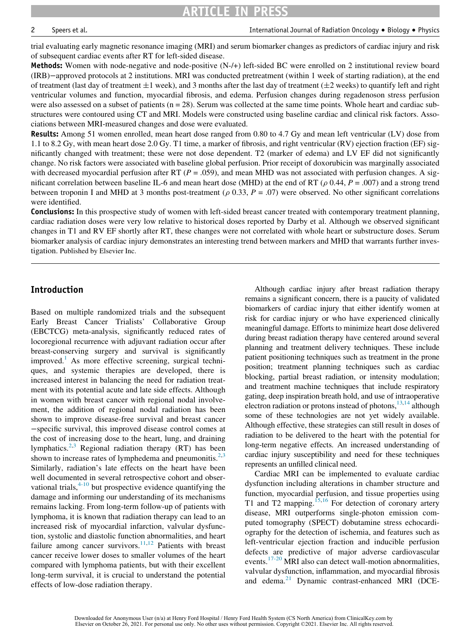ARTICLE IN PRESS

2 Speers et al. Subsetsing the subsetsion of Radiation Oncology • Biology • Physics and Department of Radiation Oncology • Physics

trial evaluating early magnetic resonance imaging (MRI) and serum biomarker changes as predictors of cardiac injury and risk of subsequent cardiac events after RT for left-sided disease.

Methods: Women with node-negative and node-positive (N-/+) left-sided BC were enrolled on 2 institutional review board (IRB)−approved protocols at 2 institutions. MRI was conducted pretreatment (within 1 week of starting radiation), at the end of treatment (last day of treatment  $\pm 1$  week), and 3 months after the last day of treatment ( $\pm 2$  weeks) to quantify left and right ventricular volumes and function, myocardial fibrosis, and edema. Perfusion changes during regadenoson stress perfusion were also assessed on a subset of patients  $(n = 28)$ . Serum was collected at the same time points. Whole heart and cardiac substructures were contoured using CT and MRI. Models were constructed using baseline cardiac and clinical risk factors. Associations between MRI-measured changes and dose were evaluated.

**Results:** Among 51 women enrolled, mean heart dose ranged from 0.80 to 4.7 Gy and mean left ventricular (LV) dose from 1.1 to 8.2 Gy, with mean heart dose 2.0 Gy. T1 time, a marker of fibrosis, and right ventricular (RV) ejection fraction (EF) significantly changed with treatment; these were not dose dependent. T2 (marker of edema) and LV EF did not significantly change. No risk factors were associated with baseline global perfusion. Prior receipt of doxorubicin was marginally associated with decreased myocardial perfusion after RT ( $P = .059$ ), and mean MHD was not associated with perfusion changes. A significant correlation between baseline IL-6 and mean heart dose (MHD) at the end of RT ( $\rho$  0.44,  $P = .007$ ) and a strong trend between troponin I and MHD at 3 months post-treatment ( $\rho$  0.33,  $P = .07$ ) were observed. No other significant correlations were identified.

**Conclusions:** In this prospective study of women with left-sided breast cancer treated with contemporary treatment planning, cardiac radiation doses were very low relative to historical doses reported by Darby et al. Although we observed significant changes in T1 and RV EF shortly after RT, these changes were not correlated with whole heart or substructure doses. Serum biomarker analysis of cardiac injury demonstrates an interesting trend between markers and MHD that warrants further investigation. Published by Elsevier Inc.

### Introduction

Based on multiple randomized trials and the subsequent Early Breast Cancer Trialists' Collaborative Group (EBCTCG) meta-analysis, significantly reduced rates of locoregional recurrence with adjuvant radiation occur after breast-conserving surgery and survival is significantly improved.<sup>[1](#page-9-0)</sup> As more effective screening, surgical techniques, and systemic therapies are developed, there is increased interest in balancing the need for radiation treatment with its potential acute and late side effects. Although in women with breast cancer with regional nodal involvement, the addition of regional nodal radiation has been shown to improve disease-free survival and breast cancer −specific survival, this improved disease control comes at the cost of increasing dose to the heart, lung, and draining lymphatics.<sup>[2](#page-9-1)[,3](#page-9-2)</sup> Regional radiation therapy (RT) has been shown to increase rates of lymphedema and pneumonitis. $2,3$  $2,3$ Similarly, radiation's late effects on the heart have been well documented in several retrospective cohort and observational trials,  $4-10$  but prospective evidence quantifying the damage and informing our understanding of its mechanisms remains lacking. From long-term follow-up of patients with lymphoma, it is known that radiation therapy can lead to an increased risk of myocardial infarction, valvular dysfunction, systolic and diastolic function abnormalities, and heart failure among cancer survivors. $11,12$  $11,12$  Patients with breast cancer receive lower doses to smaller volumes of the heart compared with lymphoma patients, but with their excellent long-term survival, it is crucial to understand the potential effects of low-dose radiation therapy.

Although cardiac injury after breast radiation therapy remains a significant concern, there is a paucity of validated biomarkers of cardiac injury that either identify women at risk for cardiac injury or who have experienced clinically meaningful damage. Efforts to minimize heart dose delivered during breast radiation therapy have centered around several planning and treatment delivery techniques. These include patient positioning techniques such as treatment in the prone position; treatment planning techniques such as cardiac blocking, partial breast radiation, or intensity modulation; and treatment machine techniques that include respiratory gating, deep inspiration breath hold, and use of intraoperative electron radiation or protons instead of photons, $13,14$  $13,14$  although some of these technologies are not yet widely available. Although effective, these strategies can still result in doses of radiation to be delivered to the heart with the potential for long-term negative effects. An increased understanding of cardiac injury susceptibility and need for these techniques represents an unfilled clinical need.

Cardiac MRI can be implemented to evaluate cardiac dysfunction including alterations in chamber structure and function, myocardial perfusion, and tissue properties using T1 and T2 mapping.<sup>[15](#page-9-8),[16](#page-9-9)</sup> For detection of coronary artery disease, MRI outperforms single-photon emission computed tomography (SPECT) dobutamine stress echocardiography for the detection of ischemia, and features such as left-ventricular ejection fraction and inducible perfusion defects are predictive of major adverse cardiovascular events.<sup>[17-20](#page-10-0)</sup> MRI also can detect wall-motion abnormalities, valvular dysfunction, inflammation, and myocardial fibrosis and edema.<sup>[21](#page-10-1)</sup> Dynamic contrast-enhanced MRI (DCE-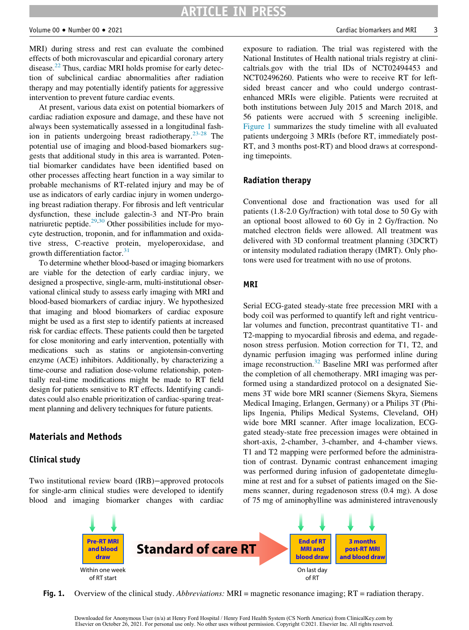#### Volume 00 - Number 00 -

MRI) during stress and rest can evaluate the combined effects of both microvascular and epicardial coronary artery disease.<sup>22</sup> Thus, cardiac MRI holds promise for early detection of subclinical cardiac abnormalities after radiation therapy and may potentially identify patients for aggressive intervention to prevent future cardiac events.

At present, various data exist on potential biomarkers of cardiac radiation exposure and damage, and these have not always been systematically assessed in a longitudinal fash-ion in patients undergoing breast radiotherapy.<sup>[23-28](#page-10-3)</sup> The potential use of imaging and blood-based biomarkers suggests that additional study in this area is warranted. Potential biomarker candidates have been identified based on other processes affecting heart function in a way similar to probable mechanisms of RT-related injury and may be of use as indicators of early cardiac injury in women undergoing breast radiation therapy. For fibrosis and left ventricular dysfunction, these include galectin-3 and NT-Pro brain natriuretic peptide. $29,30$  $29,30$  Other possibilities include for myocyte destruction, troponin, and for inflammation and oxidative stress, C-reactive protein, myeloperoxidase, and growth differentiation factor. $31$ 

To determine whether blood-based or imaging biomarkers are viable for the detection of early cardiac injury, we designed a prospective, single-arm, multi-institutional observational clinical study to assess early imaging with MRI and blood-based biomarkers of cardiac injury. We hypothesized that imaging and blood biomarkers of cardiac exposure might be used as a first step to identify patients at increased risk for cardiac effects. These patients could then be targeted for close monitoring and early intervention, potentially with medications such as statins or angiotensin-converting enzyme (ACE) inhibitors. Additionally, by characterizing a time-course and radiation dose-volume relationship, potentially real-time modifications might be made to RT field design for patients sensitive to RT effects. Identifying candidates could also enable prioritization of cardiac-sparing treatment planning and delivery techniques for future patients.

#### Materials and Methods

#### Clinical study

<span id="page-4-0"></span>Two institutional review board (IRB)−approved protocols for single-arm clinical studies were developed to identify blood and imaging biomarker changes with cardiac

exposure to radiation. The trial was registered with the National Institutes of Health national trials registry at clinicaltrials.gov with the trial IDs of NCT02494453 and NCT02496260. Patients who were to receive RT for leftsided breast cancer and who could undergo contrastenhanced MRIs were eligible. Patients were recruited at both institutions between July 2015 and March 2018, and 56 patients were accrued with 5 screening ineligible. [Figure 1](#page-4-0) summarizes the study timeline with all evaluated patients undergoing 3 MRIs (before RT, immediately post-RT, and 3 months post-RT) and blood draws at corresponding timepoints.

#### Radiation therapy

Conventional dose and fractionation was used for all patients (1.8-2.0 Gy/fraction) with total dose to 50 Gy with an optional boost allowed to 60 Gy in 2 Gy/fraction. No matched electron fields were allowed. All treatment was delivered with 3D conformal treatment planning (3DCRT) or intensity modulated radiation therapy (IMRT). Only photons were used for treatment with no use of protons.

#### MRI

Serial ECG-gated steady-state free precession MRI with a body coil was performed to quantify left and right ventricular volumes and function, precontrast quantitative T1- and T2-mapping to myocardial fibrosis and edema, and regadenoson stress perfusion. Motion correction for T1, T2, and dynamic perfusion imaging was performed inline during image reconstruction.[32](#page-10-7) Baseline MRI was performed after the completion of all chemotherapy. MRI imaging was performed using a standardized protocol on a designated Siemens 3T wide bore MRI scanner (Siemens Skyra, Siemens Medical Imaging, Erlangen, Germany) or a Philips 3T (Philips Ingenia, Philips Medical Systems, Cleveland, OH) wide bore MRI scanner. After image localization, ECGgated steady-state free precession images were obtained in short-axis, 2-chamber, 3-chamber, and 4-chamber views. T1 and T2 mapping were performed before the administration of contrast. Dynamic contrast enhancement imaging was performed during infusion of gadopentetate dimeglumine at rest and for a subset of patients imaged on the Siemens scanner, during regadenoson stress (0.4 mg). A dose of 75 mg of aminophylline was administered intravenously



Fig. 1. Overview of the clinical study. Abbreviations: MRI = magnetic resonance imaging; RT = radiation therapy.

Downloaded for Anonymous User (n/a) at Henry Ford Hospital / Henry Ford Health System (CS North America) from ClinicalKey.com by Elsevier on October 26, 2021. For personal use only. No other uses without permission. Copyright ©2021. Elsevier Inc. All rights reserved.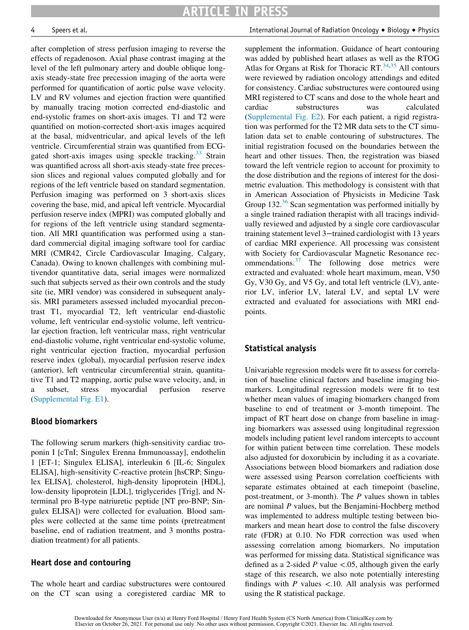after completion of stress perfusion imaging to reverse the effects of regadenoson. Axial phase contrast imaging at the level of the left pulmonary artery and double oblique longaxis steady-state free precession imaging of the aorta were performed for quantification of aortic pulse wave velocity. LV and RV volumes and ejection fraction were quantified by manually tracing motion corrected end-diastolic and end-systolic frames on short-axis images. T1 and T2 were quantified on motion-corrected short-axis images acquired at the basal, midventricular, and apical levels of the left ventricle. Circumferential strain was quantified from ECG-gated short-axis images using speckle tracking.<sup>[33](#page-10-8)</sup> Strain was quantified across all short-axis steady-state free precession slices and regional values computed globally and for regions of the left ventricle based on standard segmentation. Perfusion imaging was performed on 3 short-axis slices covering the base, mid, and apical left ventricle. Myocardial perfusion reserve index (MPRI) was computed globally and for regions of the left ventricle using standard segmentation. All MRI quantification was performed using a standard commercial digital imaging software tool for cardiac MRI (CMR42, Circle Cardiovascular Imaging, Calgary, Canada). Owing to known challenges with combining multivendor quantitative data, serial images were normalized such that subjects served as their own controls and the study site (ie, MRI vendor) was considered in subsequent analysis. MRI parameters assessed included myocardial precontrast T1, myocardial T2, left ventricular end-diastolic volume, left ventricular end-systolic volume, left ventricular ejection fraction, left ventricular mass, right ventricular end-diastolic volume, right ventricular end-systolic volume, right ventricular ejection fraction, myocardial perfusion reserve index (global), myocardial perfusion reserve index (anterior), left ventricular circumferential strain, quantitative T1 and T2 mapping, aortic pulse wave velocity, and, in a subset, stress myocardial perfusion reserve [\(Supplemental Fig. E1](#page-9-10)).

#### Blood biomarkers

The following serum markers (high-sensitivity cardiac troponin I [cTnI; Singulex Erenna Immunoassay], endothelin 1 [ET-1; Singulex ELISA], interleukin 6 [IL-6; Singulex ELISA], high-sensitivity C-reactive protein [hsCRP; Singulex ELISA], cholesterol, high-density lipoprotein [HDL], low-density lipoprotein [LDL], triglycerides [Trig], and Nterminal pro B-type natriuretic peptide [NT pro-BNP; Singulex ELISA]) were collected for evaluation. Blood samples were collected at the same time points (pretreatment baseline, end of radiation treatment, and 3 months postradiation treatment) for all patients.

#### Heart dose and contouring

The whole heart and cardiac substructures were contoured on the CT scan using a coregistered cardiac MR to

4 Speers et al. International Journal of Radiation Oncology - Biology - Physics

supplement the information. Guidance of heart contouring was added by published heart atlases as well as the RTOG Atlas for Organs at Risk for Thoracic  $RT^{34,35}$  $RT^{34,35}$  $RT^{34,35}$  $RT^{34,35}$  All contours were reviewed by radiation oncology attendings and edited for consistency. Cardiac substructures were contoured using MRI registered to CT scans and dose to the whole heart and cardiac substructures was calculated [\(Supplemental Fig. E2\)](#page-9-10). For each patient, a rigid registration was performed for the T2 MR data sets to the CT simulation data set to enable contouring of substructures. The initial registration focused on the boundaries between the heart and other tissues. Then, the registration was biased toward the left ventricle region to account for proximity to the dose distribution and the regions of interest for the dosimetric evaluation. This methodology is consistent with that in American Association of Physicists in Medicine Task Group  $132<sup>36</sup>$  $132<sup>36</sup>$  $132<sup>36</sup>$  Scan segmentation was performed initially by a single trained radiation therapist with all tracings individually reviewed and adjusted by a single core cardiovascular training statement level 3−trained cardiologist with 13 years of cardiac MRI experience. All processing was consistent with Society for Cardiovascular Magnetic Resonance recommendations.  $37$  The following dose metrics were extracted and evaluated: whole heart maximum, mean, V50 Gy, V30 Gy, and V5 Gy, and total left ventricle (LV), anterior LV, inferior LV, lateral LV, and septal LV were extracted and evaluated for associations with MRI endpoints.

### Statistical analysis

Univariable regression models were fit to assess for correlation of baseline clinical factors and baseline imaging biomarkers. Longitudinal regression models were fit to test whether mean values of imaging biomarkers changed from baseline to end of treatment or 3-month timepoint. The impact of RT heart dose on change from baseline in imaging biomarkers was assessed using longitudinal regression models including patient level random intercepts to account for within patient between time correlation. These models also adjusted for doxorubicin by including it as a covariate. Associations between blood biomarkers and radiation dose were assessed using Pearson correlation coefficients with separate estimates obtained at each timepoint (baseline, post-treatment, or 3-month). The P values shown in tables are nominal P values, but the Benjamini-Hochberg method was implemented to address multiple testing between biomarkers and mean heart dose to control the false discovery rate (FDR) at 0.10. No FDR correction was used when assessing correlation among biomarkers. No imputation was performed for missing data. Statistical significance was defined as a 2-sided P value  $\lt$ .05, although given the early stage of this research, we also note potentially interesting findings with  $P$  values  $\lt$ .10. All analysis was performed using the R statistical package.

Downloaded for Anonymous User (n/a) at Henry Ford Hospital / Henry Ford Health System (CS North America) from ClinicalKey.com by Elsevier on October 26, 2021. For personal use only. No other uses without permission. Copyright ©2021. Elsevier Inc. All rights reserved.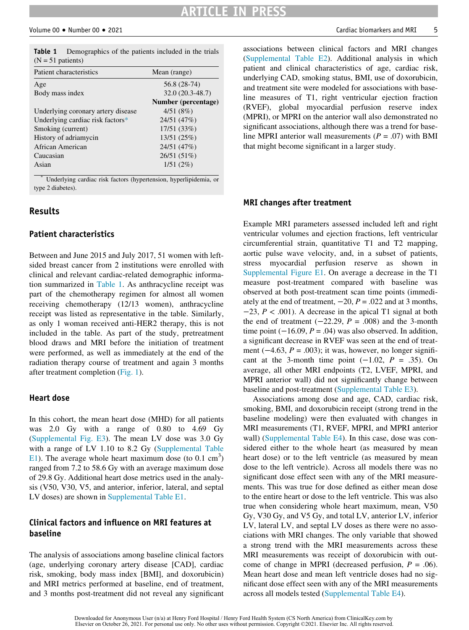## ARTICLE IN PRESS

<span id="page-6-0"></span>

|                     | <b>Table 1</b> Demographics of the patients included in the trials |  |  |  |
|---------------------|--------------------------------------------------------------------|--|--|--|
| $(N = 51$ patients) |                                                                    |  |  |  |

| Patient characteristics            | Mean (range)        |
|------------------------------------|---------------------|
| Age                                | 56.8 (28-74)        |
| Body mass index                    | $32.0(20.3-48.7)$   |
|                                    | Number (percentage) |
| Underlying coronary artery disease | 4/51(8%)            |
| Underlying cardiac risk factors*   | 24/51 (47%)         |
| Smoking (current)                  | 17/51 (33%)         |
| History of adriamycin              | 13/51 (25%)         |
| African American                   | 24/51 (47%)         |
| Caucasian                          | 26/51 (51%)         |
| Asian                              | 1/51(2%)            |
| sk.                                |                     |

<span id="page-6-1"></span>Underlying cardiac risk factors (hypertension, hyperlipidemia, or type 2 diabetes).

#### Results

#### Patient characteristics

Between and June 2015 and July 2017, 51 women with leftsided breast cancer from 2 institutions were enrolled with clinical and relevant cardiac-related demographic information summarized in [Table 1](#page-6-0). As anthracycline receipt was part of the chemotherapy regimen for almost all women receiving chemotherapy (12/13 women), anthracycline receipt was listed as representative in the table. Similarly, as only 1 woman received anti-HER2 therapy, this is not included in the table. As part of the study, pretreatment blood draws and MRI before the initiation of treatment were performed, as well as immediately at the end of the radiation therapy course of treatment and again 3 months after treatment completion ([Fig. 1\)](#page-4-0).

#### Heart dose

In this cohort, the mean heart dose (MHD) for all patients was 2.0 Gy with a range of 0.80 to 4.69 Gy [\(Supplemental Fig. E3\)](#page-9-10). The mean LV dose was 3.0 Gy with a range of LV 1.10 to 8.2 Gy ([Supplemental Table](#page-9-10) [E1\)](#page-9-10). The average whole heart maximum dose (to  $0.1 \text{ cm}^3$ ) ranged from 7.2 to 58.6 Gy with an average maximum dose of 29.8 Gy. Additional heart dose metrics used in the analysis (V50, V30, V5, and anterior, inferior, lateral, and septal LV doses) are shown in [Supplemental Table E1](#page-9-10).

#### Clinical factors and influence on MRI features at baseline

The analysis of associations among baseline clinical factors (age, underlying coronary artery disease [CAD], cardiac risk, smoking, body mass index [BMI], and doxorubicin) and MRI metrics performed at baseline, end of treatment, and 3 months post-treatment did not reveal any significant

associations between clinical factors and MRI changes [\(Supplemental Table E2](#page-9-10)). Additional analysis in which patient and clinical characteristics of age, cardiac risk, underlying CAD, smoking status, BMI, use of doxorubicin, and treatment site were modeled for associations with baseline measures of T1, right ventricular ejection fraction (RVEF), global myocardial perfusion reserve index (MPRI), or MPRI on the anterior wall also demonstrated no significant associations, although there was a trend for baseline MPRI anterior wall measurements  $(P = .07)$  with BMI that might become significant in a larger study.

#### MRI changes after treatment

Example MRI parameters assessed included left and right ventricular volumes and ejection fractions, left ventricular circumferential strain, quantitative T1 and T2 mapping, aortic pulse wave velocity, and, in a subset of patients, stress myocardial perfusion reserve as shown in [Supplemental Figure E1.](#page-9-10) On average a decrease in the T1 measure post-treatment compared with baseline was observed at both post-treatment scan time points (immediately at the end of treatment,  $-20$ ,  $P = .022$  and at 3 months,  $-23$ ,  $P < .001$ ). A decrease in the apical T1 signal at both the end of treatment  $(-22.29, P = .008)$  and the 3-month time point  $(-16.09, P = .04)$  was also observed. In addition, a significant decrease in RVEF was seen at the end of treatment ( $-4.63$ ,  $P = .003$ ); it was, however, no longer significant at the 3-month time point  $(-1.02, P = .35)$ . On average, all other MRI endpoints (T2, LVEF, MPRI, and MPRI anterior wall) did not significantly change between baseline and post-treatment [\(Supplemental Table E3](#page-9-10)).

Associations among dose and age, CAD, cardiac risk, smoking, BMI, and doxorubicin receipt (strong trend in the baseline modeling) were then evaluated with changes in MRI measurements (T1, RVEF, MPRI, and MPRI anterior wall) ([Supplemental Table E4\)](#page-9-10). In this case, dose was considered either to the whole heart (as measured by mean heart dose) or to the left ventricle (as measured by mean dose to the left ventricle). Across all models there was no significant dose effect seen with any of the MRI measurements. This was true for dose defined as either mean dose to the entire heart or dose to the left ventricle. This was also true when considering whole heart maximum, mean, V50 Gy, V30 Gy, and V5 Gy, and total LV, anterior LV, inferior LV, lateral LV, and septal LV doses as there were no associations with MRI changes. The only variable that showed a strong trend with the MRI measurements across these MRI measurements was receipt of doxorubicin with outcome of change in MPRI (decreased perfusion,  $P = .06$ ). Mean heart dose and mean left ventricle doses had no significant dose effect seen with any of the MRI measurements across all models tested ([Supplemental Table E4\)](#page-9-10).

Downloaded for Anonymous User (n/a) at Henry Ford Hospital / Henry Ford Health System (CS North America) from ClinicalKey.com by Elsevier on October 26, 2021. For personal use only. No other uses without permission. Copyright ©2021. Elsevier Inc. All rights reserved.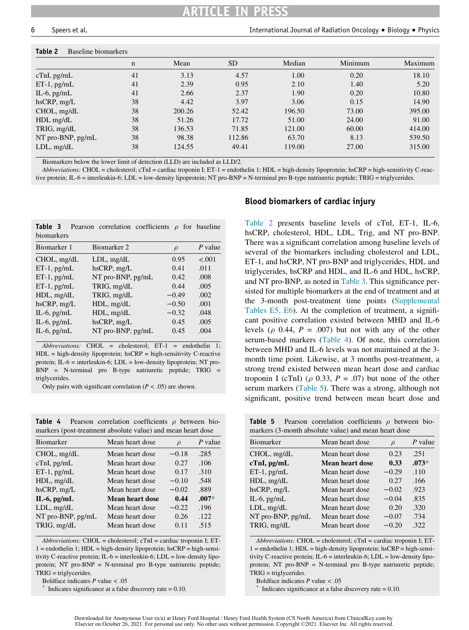# ARTICLE IN PRESS

#### <span id="page-7-0"></span>Table 2 Baseline biomarkers

|                       | n  | Mean   | SD.    | Median | Minimum | Maximum |
|-----------------------|----|--------|--------|--------|---------|---------|
| cTnI, pg/mL           | 41 | 3.13   | 4.57   | 1.00   | 0.20    | 18.10   |
| $ET-1$ , $pg/mL$      | 41 | 2.39   | 0.95   | 2.10   | 1.40    | 5.20    |
| IL-6, $pg/mL$         | 41 | 2.66   | 2.37   | 1.90   | 0.20    | 10.80   |
| $h$ sCRP, mg/L        | 38 | 4.42   | 3.97   | 3.06   | 0.15    | 14.90   |
| $CHOL$ , mg/dL        | 38 | 200.26 | 52.42  | 196.50 | 73.00   | 395.00  |
| $HDL$ mg/d $L$        | 38 | 51.26  | 17.72  | 51.00  | 24.00   | 91.00   |
| TRIG, mg/dL           | 38 | 136.53 | 71.85  | 121.00 | 60.00   | 414.00  |
| $NT$ pro-BNP, $pg/mL$ | 38 | 98.38  | 112.86 | 63.70  | 8.13    | 539.50  |
| $LDL$ , mg/d $L$      | 38 | 124.55 | 49.41  | 119.00 | 27.00   | 315.00  |

Biomarkers below the lower limit of detection (LLD) are included as LLD/2.

Abbreviations: CHOL = cholesterol; cTnI = cardiac troponin I; ET-1 = endothelin 1; HDL = high-density lipoprotein; hsCRP = high-sensitivity C-reactive protein; IL-6 = interleukin-6; LDL = low-density lipoprotein; NT pro-BNP = N-terminal pro B-type natriuretic peptide; TRIG = triglycerides.

<span id="page-7-1"></span>

| Table 3<br>biomarkers | Pearson correlation coefficients |         | $\rho$ for baseline |
|-----------------------|----------------------------------|---------|---------------------|
| Biomarker 1           | Biomarker 2                      | $\rho$  | P value             |
| $CHOL$ , mg/dL        | $LDL$ , mg/d $L$                 | 0.95    | $-.001$             |
| $ET-1$ , pg/mL        | $h$ s $CRP, mg/L$                | 0.41    | .011                |
| $ET-1$ , pg/mL        | $NT$ pro-BNP, $pg/mL$            | 0.42.   | .008                |
| $ET-1$ , pg/mL        | TRIG, mg/dL                      | 0.44    | .005                |
| $HDL$ , mg/d $L$      | TRIG, mg/dL                      | $-0.49$ | .002                |
| $h$ sCRP, mg/L        | $HDL$ , mg/d $L$                 | $-0.50$ | .001                |
| IL-6, $pg/mL$         | $HDL$ , mg/d $L$                 | $-0.32$ | .048                |
| IL-6, $pg/mL$         | $h$ s $CRP, mg/L$                | 0.45    | .005                |
| IL-6, $pg/mL$         | NT pro-BNP, pg/mL                | 0.45    | .004                |

Abbreviations: CHOL = cholesterol; ET-1 = endothelin 1;  $HDL = high-density lipoprotein;  $hscRP = high-sensitive$  C-reactive$ protein; IL-6 = interleukin-6; LDL = low-density lipoprotein; NT pro-BNP = N-terminal pro B-type natriuretic peptide; TRIG = triglycerides.

Only pairs with significant correlation ( $P < .05$ ) are shown.

<span id="page-7-3"></span><span id="page-7-2"></span>**Table 4** Pearson correlation coefficients  $\rho$  between biomarkers (post-treatment absolute value) and mean heart dose

| manters (post a calment associate value) and mean nearl dose |                        |         |           |  |  |
|--------------------------------------------------------------|------------------------|---------|-----------|--|--|
| Biomarker                                                    | Mean heart dose        | $\rho$  | $P$ value |  |  |
| $CHOL$ , mg/dL                                               | Mean heart dose        | $-0.18$ | .285      |  |  |
| cTnI, pg/mL                                                  | Mean heart dose        | 0.27    | .106      |  |  |
| $ET-1$ , pg/mL                                               | Mean heart dose        | 0.17    | .310      |  |  |
| HDL, mg/dL                                                   | Mean heart dose        | $-0.10$ | .548      |  |  |
| $h$ s $CRP, mg/L$                                            | Mean heart dose        | $-0.02$ | .889      |  |  |
| $IL-6$ , pg/m $L$                                            | <b>Mean heart dose</b> | 0.44    | $.007*$   |  |  |
| $LDL$ , mg/d $L$                                             | Mean heart dose        | $-0.22$ | .196      |  |  |
| NT pro-BNP, pg/mL                                            | Mean heart dose        | 0.26    | .122      |  |  |
| TRIG, mg/dL                                                  | Mean heart dose        | 0.11    | .515      |  |  |
|                                                              |                        |         |           |  |  |

Abbreviations:  $CHOL =$  cholesterol;  $cTnI =$  cardiac troponin I; ET- $1 =$  endothelin 1; HDL = high-density lipoprotein; hsCRP = high-sensitivity C-reactive protein;  $IL-6 = interleukin-6$ ;  $LDL = low-density lipo$ protein; NT pro-BNP = N-terminal pro B-type natriuretic peptide; TRIG = triglycerides.

<span id="page-7-5"></span><span id="page-7-4"></span>Boldface indicates  $P$  value  $\lt$  .05  $*$  Indicates significance at a false discovery rate = 0.10.

#### Blood biomarkers of cardiac injury

[Table 2](#page-7-0) presents baseline levels of cTnl, ET-1, IL-6, hsCRP, cholesterol, HDL, LDL, Trig, and NT pro-BNP. There was a significant correlation among baseline levels of several of the biomarkers including cholesterol and LDL, ET-1, and hsCRP, NT pro-BNP and triglycerides, HDL and triglycerides, hsCRP and HDL, and IL-6 and HDL, hsCRP, and NT pro-BNP, as noted in [Table 3](#page-7-1). This significance persisted for multiple biomarkers at the end of treatment and at the 3-month post-treatment time points [\(Supplemental](#page-9-10) [Tables E5, E6\)](#page-9-10). At the completion of treatment, a significant positive correlation existed between MHD and IL-6 levels ( $\rho$  0.44, P = .007) but not with any of the other serum-based markers ([Table 4](#page-7-2)). Of note, this correlation between MHD and IL-6 levels was not maintained at the 3 month time point. Likewise, at 3 months post-treatment, a strong trend existed between mean heart dose and cardiac troponin I (cTnI) ( $\rho$  0.33, P = .07) but none of the other serum markers ([Table 5\)](#page-7-3). There was a strong, although not significant, positive trend between mean heart dose and

**Table 5** Pearson correlation coefficients  $\rho$  between biomarkers (3-month absolute value) and mean heart dose

| P value |
|---------|
| .251    |
| $.073*$ |
| .110    |
| .166    |
| .923    |
| .835    |
| .320    |
| .734    |
| .322    |
|         |

Abbreviations:  $CHOL =$  cholesterol;  $cTnI =$  cardiac troponin I; ET- $1 =$  endothelin 1; HDL = high-density lipoprotein; hsCRP = high-sensitivity C-reactive protein;  $IL-6 = interleukin-6$ ;  $LDL = low-density lipo$ protein; NT pro-BNP = N-terminal pro B-type natriuretic peptide; TRIG = triglycerides.

Boldface indicates  $P$  value  $\lt$  .05  $*$  Indicates significance at a false discovery rate = 0.10.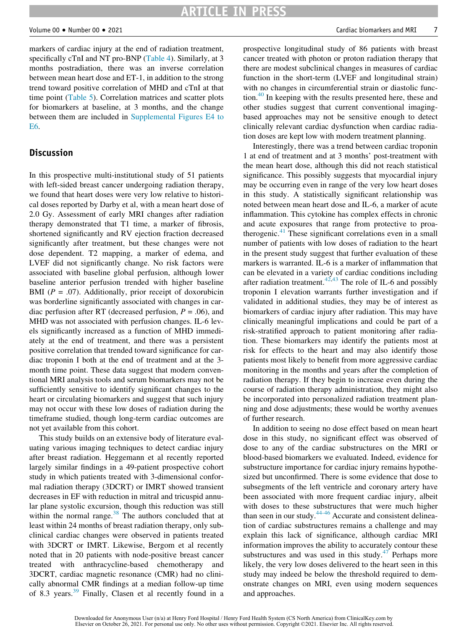markers of cardiac injury at the end of radiation treatment, specifically cTnI and NT pro-BNP ([Table 4\)](#page-7-2). Similarly, at 3 months postradiation, there was an inverse correlation between mean heart dose and ET-1, in addition to the strong trend toward positive correlation of MHD and cTnI at that time point ([Table 5\)](#page-7-3). Correlation matrices and scatter plots for biomarkers at baseline, at 3 months, and the change between them are included in [Supplemental Figures E4 to](#page-9-10) [E6.](#page-9-10)

#### Discussion

In this prospective multi-institutional study of 51 patients with left-sided breast cancer undergoing radiation therapy, we found that heart doses were very low relative to historical doses reported by Darby et al, with a mean heart dose of 2.0 Gy. Assessment of early MRI changes after radiation therapy demonstrated that T1 time, a marker of fibrosis, shortened significantly and RV ejection fraction decreased significantly after treatment, but these changes were not dose dependent. T2 mapping, a marker of edema, and LVEF did not significantly change. No risk factors were associated with baseline global perfusion, although lower baseline anterior perfusion trended with higher baseline BMI ( $P = .07$ ). Additionally, prior receipt of doxorubicin was borderline significantly associated with changes in cardiac perfusion after RT (decreased perfusion,  $P = .06$ ), and MHD was not associated with perfusion changes. IL-6 levels significantly increased as a function of MHD immediately at the end of treatment, and there was a persistent positive correlation that trended toward significance for cardiac troponin I both at the end of treatment and at the 3 month time point. These data suggest that modern conventional MRI analysis tools and serum biomarkers may not be sufficiently sensitive to identify significant changes to the heart or circulating biomarkers and suggest that such injury may not occur with these low doses of radiation during the timeframe studied, though long-term cardiac outcomes are not yet available from this cohort.

This study builds on an extensive body of literature evaluating various imaging techniques to detect cardiac injury after breast radiation. Heggemann et al recently reported largely similar findings in a 49-patient prospective cohort study in which patients treated with 3-dimensional conformal radiation therapy (3DCRT) or IMRT showed transient decreases in EF with reduction in mitral and tricuspid annular plane systolic excursion, though this reduction was still within the normal range.<sup>[38](#page-10-13)</sup> The authors concluded that at least within 24 months of breast radiation therapy, only subclinical cardiac changes were observed in patients treated with 3DCRT or IMRT. Likewise, Bergom et al recently noted that in 20 patients with node-positive breast cancer treated with anthracycline-based chemotherapy and 3DCRT, cardiac magnetic resonance (CMR) had no clinically abnormal CMR findings at a median follow-up time of 8.3 years.[39](#page-10-14) Finally, Clasen et al recently found in a prospective longitudinal study of 86 patients with breast cancer treated with photon or proton radiation therapy that there are modest subclinical changes in measures of cardiac function in the short-term (LVEF and longitudinal strain) with no changes in circumferential strain or diastolic function. $40$  In keeping with the results presented here, these and other studies suggest that current conventional imagingbased approaches may not be sensitive enough to detect clinically relevant cardiac dysfunction when cardiac radiation doses are kept low with modern treatment planning.

Interestingly, there was a trend between cardiac troponin 1 at end of treatment and at 3 months' post-treatment with the mean heart dose, although this did not reach statistical significance. This possibly suggests that myocardial injury may be occurring even in range of the very low heart doses in this study. A statistically significant relationship was noted between mean heart dose and IL-6, a marker of acute inflammation. This cytokine has complex effects in chronic and acute exposures that range from protective to proatherogenic. $41$  These significant correlations even in a small number of patients with low doses of radiation to the heart in the present study suggest that further evaluation of these markers is warranted. IL-6 is a marker of inflammation that can be elevated in a variety of cardiac conditions including after radiation treatment.<sup>[42](#page-10-17)[,43](#page-10-18)</sup> The role of IL-6 and possibly troponin I elevation warrants further investigation and if validated in additional studies, they may be of interest as biomarkers of cardiac injury after radiation. This may have clinically meaningful implications and could be part of a risk-stratified approach to patient monitoring after radiation. These biomarkers may identify the patients most at risk for effects to the heart and may also identify those patients most likely to benefit from more aggressive cardiac monitoring in the months and years after the completion of radiation therapy. If they begin to increase even during the course of radiation therapy administration, they might also be incorporated into personalized radiation treatment planning and dose adjustments; these would be worthy avenues of further research.

In addition to seeing no dose effect based on mean heart dose in this study, no significant effect was observed of dose to any of the cardiac substructures on the MRI or blood-based biomarkers we evaluated. Indeed, evidence for substructure importance for cardiac injury remains hypothesized but unconfirmed. There is some evidence that dose to subsegments of the left ventricle and coronary artery have been associated with more frequent cardiac injury, albeit with doses to these substructures that were much higher than seen in our study. $44-46$  Accurate and consistent delineation of cardiac substructures remains a challenge and may explain this lack of significance, although cardiac MRI information improves the ability to accurately contour these substructures and was used in this study. $47$  Perhaps more likely, the very low doses delivered to the heart seen in this study may indeed be below the threshold required to demonstrate changes on MRI, even using modern sequences and approaches.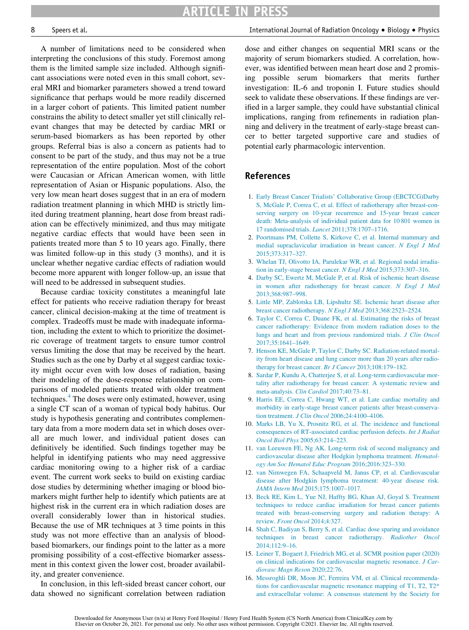A number of limitations need to be considered when interpreting the conclusions of this study. Foremost among them is the limited sample size included. Although significant associations were noted even in this small cohort, several MRI and biomarker parameters showed a trend toward significance that perhaps would be more readily discerned in a larger cohort of patients. This limited patient number constrains the ability to detect smaller yet still clinically relevant changes that may be detected by cardiac MRI or serum-based biomarkers as has been reported by other groups. Referral bias is also a concern as patients had to consent to be part of the study, and thus may not be a true representation of the entire population. Most of the cohort were Caucasian or African American women, with little representation of Asian or Hispanic populations. Also, the very low mean heart doses suggest that in an era of modern radiation treatment planning in which MHD is strictly limited during treatment planning, heart dose from breast radiation can be effectively minimized, and thus may mitigate negative cardiac effects that would have been seen in patients treated more than 5 to 10 years ago. Finally, there was limited follow-up in this study (3 months), and it is unclear whether negative cardiac effects of radiation would become more apparent with longer follow-up, an issue that will need to be addressed in subsequent studies.

<span id="page-9-10"></span><span id="page-9-3"></span><span id="page-9-2"></span><span id="page-9-1"></span><span id="page-9-0"></span>Because cardiac toxicity constitutes a meaningful late effect for patients who receive radiation therapy for breast cancer, clinical decision-making at the time of treatment is complex. Tradeoffs must be made with inadequate information, including the extent to which to prioritize the dosimetric coverage of treatment targets to ensure tumor control versus limiting the dose that may be received by the heart. Studies such as the one by Darby et al suggest cardiac toxicity might occur even with low doses of radiation, basing their modeling of the dose-response relationship on comparisons of modeled patients treated with older treatment techniques.<sup>[4](#page-9-3)</sup> The doses were only estimated, however, using a single CT scan of a woman of typical body habitus. Our study is hypothesis generating and contributes complementary data from a more modern data set in which doses overall are much lower, and individual patient doses can definitively be identified. Such findings together may be helpful in identifying patients who may need aggressive cardiac monitoring owing to a higher risk of a cardiac event. The current work seeks to build on existing cardiac dose studies by determining whether imaging or blood biomarkers might further help to identify which patients are at highest risk in the current era in which radiation doses are overall considerably lower than in historical studies. Because the use of MR techniques at 3 time points in this study was not more effective than an analysis of bloodbased biomarkers, our findings point to the latter as a more promising possibility of a cost-effective biomarker assessment in this context given the lower cost, broader availability, and greater convenience.

<span id="page-9-9"></span><span id="page-9-8"></span><span id="page-9-7"></span><span id="page-9-6"></span><span id="page-9-5"></span><span id="page-9-4"></span>In conclusion, in this left-sided breast cancer cohort, our data showed no significant correlation between radiation

8 Speers et al. International Journal of Radiation Oncology - Biology - Physics

dose and either changes on sequential MRI scans or the majority of serum biomarkers studied. A correlation, however, was identified between mean heart dose and 2 promising possible serum biomarkers that merits further investigation: IL-6 and troponin I. Future studies should seek to validate these observations. If these findings are verified in a larger sample, they could have substantial clinical implications, ranging from refinements in radiation planning and delivery in the treatment of early-stage breast cancer to better targeted supportive care and studies of potential early pharmacologic intervention.

#### References

- 1. [Early Breast Cancer Trialists](http://refhub.elsevier.com/S0360-3016(21)02732-2/sbref0001)' [Collaborative Group \(EBCTCG\)Darby](http://refhub.elsevier.com/S0360-3016(21)02732-2/sbref0001) [S, McGale P, Correa C, et al. Effect of radiotherapy after breast-con](http://refhub.elsevier.com/S0360-3016(21)02732-2/sbref0001)[serving surgery on 10-year recurrence and 15-year breast cancer](http://refhub.elsevier.com/S0360-3016(21)02732-2/sbref0001) [death: Meta-analysis of individual patient data for 10 801 women in](http://refhub.elsevier.com/S0360-3016(21)02732-2/sbref0001) 17 randomised trials. Lancet [2011;378:1707–1716.](http://refhub.elsevier.com/S0360-3016(21)02732-2/sbref0001)
- 2. [Poortmans PM, Collette S, Kirkove C, et al. Internal mammary and](http://refhub.elsevier.com/S0360-3016(21)02732-2/sbref0002) [medial supraclavicular irradiation in breast cancer.](http://refhub.elsevier.com/S0360-3016(21)02732-2/sbref0002) N Engl J Med [2015;373:317–327.](http://refhub.elsevier.com/S0360-3016(21)02732-2/sbref0002)
- 3. [Whelan TJ, Olivotto IA, Parulekar WR, et al. Regional nodal irradia](http://refhub.elsevier.com/S0360-3016(21)02732-2/sbref0003)[tion in early-stage breast cancer.](http://refhub.elsevier.com/S0360-3016(21)02732-2/sbref0003) N Engl J Med 2015;373:307–316.
- 4. [Darby SC, Ewertz M, McGale P, et al. Risk of ischemic heart disease](http://refhub.elsevier.com/S0360-3016(21)02732-2/sbref0004) [in women after radiotherapy for breast cancer.](http://refhub.elsevier.com/S0360-3016(21)02732-2/sbref0004) N Engl J Med [2013;368:987–998.](http://refhub.elsevier.com/S0360-3016(21)02732-2/sbref0004)
- 5. [Little MP, Zablotska LB, Lipshultz SE. Ischemic heart disease after](http://refhub.elsevier.com/S0360-3016(21)02732-2/sbref0005) [breast cancer radiotherapy.](http://refhub.elsevier.com/S0360-3016(21)02732-2/sbref0005) N Engl J Med 2013;368:2523–2524.
- 6. [Taylor C, Correa C, Duane FK, et al. Estimating the risks of breast](http://refhub.elsevier.com/S0360-3016(21)02732-2/sbref0006) [cancer radiotherapy: Evidence from modern radiation doses to the](http://refhub.elsevier.com/S0360-3016(21)02732-2/sbref0006) [lungs and heart and from previous randomized trials.](http://refhub.elsevier.com/S0360-3016(21)02732-2/sbref0006) J Clin Oncol [2017;35:1641–1649.](http://refhub.elsevier.com/S0360-3016(21)02732-2/sbref0006)
- 7. [Henson KE, McGale P, Taylor C, Darby SC. Radiation-related mortal](http://refhub.elsevier.com/S0360-3016(21)02732-2/sbref0007)[ity from heart disease and lung cancer more than 20 years after radio](http://refhub.elsevier.com/S0360-3016(21)02732-2/sbref0007)[therapy for breast cancer.](http://refhub.elsevier.com/S0360-3016(21)02732-2/sbref0007) Br J Cancer 2013;108:179-182.
- 8. [Sardar P, Kundu A, Chatterjee S, et al. Long-term cardiovascular mor](http://refhub.elsevier.com/S0360-3016(21)02732-2/sbref0008)[tality after radiotherapy for breast cancer: A systematic review and](http://refhub.elsevier.com/S0360-3016(21)02732-2/sbref0008) meta-analysis. Clin Cardiol [2017;40:73–81.](http://refhub.elsevier.com/S0360-3016(21)02732-2/sbref0008)
- 9. [Harris EE, Correa C, Hwang WT, et al. Late cardiac mortality and](http://refhub.elsevier.com/S0360-3016(21)02732-2/sbref0009) [morbidity in early-stage breast cancer patients after breast-conserva](http://refhub.elsevier.com/S0360-3016(21)02732-2/sbref0009)tion treatment. J Clin Oncol [2006;24:4100–4106.](http://refhub.elsevier.com/S0360-3016(21)02732-2/sbref0009)
- 10. [Marks LB, Yu X, Prosnitz RG, et al. The incidence and functional](http://refhub.elsevier.com/S0360-3016(21)02732-2/sbref0010) [consequences of RT-associated cardiac perfusion defects.](http://refhub.elsevier.com/S0360-3016(21)02732-2/sbref0010) Int J Radiat Oncol Biol Phys [2005;63:214–223.](http://refhub.elsevier.com/S0360-3016(21)02732-2/sbref0010)
- 11. [van Leeuwen FE, Ng AK. Long-term risk of second malignancy and](http://refhub.elsevier.com/S0360-3016(21)02732-2/sbref0011) [cardiovascular disease after Hodgkin lymphoma treatment.](http://refhub.elsevier.com/S0360-3016(21)02732-2/sbref0011) Hematol[ogy Am Soc Hematol Educ Program](http://refhub.elsevier.com/S0360-3016(21)02732-2/sbref0011) 2016;2016:323–330.
- 12. [van Nimwegen FA, Schaapveld M, Janus CP, et al. Cardiovascular](http://refhub.elsevier.com/S0360-3016(21)02732-2/sbref0012) [disease after Hodgkin lymphoma treatment: 40-year disease risk.](http://refhub.elsevier.com/S0360-3016(21)02732-2/sbref0012) JAMA Intern Med [2015;175:1007–1017.](http://refhub.elsevier.com/S0360-3016(21)02732-2/sbref0012)
- 13. [Beck RE, Kim L, Yue NJ, Haffty BG, Khan AJ, Goyal S. Treatment](http://refhub.elsevier.com/S0360-3016(21)02732-2/sbref0013) [techniques to reduce cardiac irradiation for breast cancer patients](http://refhub.elsevier.com/S0360-3016(21)02732-2/sbref0013) [treated with breast-conserving surgery and radiation therapy: A](http://refhub.elsevier.com/S0360-3016(21)02732-2/sbref0013) review. [Front Oncol](http://refhub.elsevier.com/S0360-3016(21)02732-2/sbref0013) 2014;4:327.
- 14. [Shah C, Badiyan S, Berry S, et al. Cardiac dose sparing and avoidance](http://refhub.elsevier.com/S0360-3016(21)02732-2/sbref0014) [techniques in breast cancer radiotherapy.](http://refhub.elsevier.com/S0360-3016(21)02732-2/sbref0014) Radiother Oncol [2014;112:9–16.](http://refhub.elsevier.com/S0360-3016(21)02732-2/sbref0014)
- 15. [Leiner T, Bogaert J, Friedrich MG, et al. SCMR position paper \(2020\)](http://refhub.elsevier.com/S0360-3016(21)02732-2/sbref0015) [on clinical indications for cardiovascular magnetic resonance.](http://refhub.elsevier.com/S0360-3016(21)02732-2/sbref0015) J Car[diovasc Magn Reson](http://refhub.elsevier.com/S0360-3016(21)02732-2/sbref0015) 2020;22:76.
- 16. [Messroghli DR, Moon JC, Ferreira VM, et al. Clinical recommenda](http://refhub.elsevier.com/S0360-3016(21)02732-2/sbref0016)[tions for cardiovascular magnetic resonance mapping of T1, T2, T2\\*](http://refhub.elsevier.com/S0360-3016(21)02732-2/sbref0016) [and extracellular volume: A consensus statement by the Society for](http://refhub.elsevier.com/S0360-3016(21)02732-2/sbref0016)